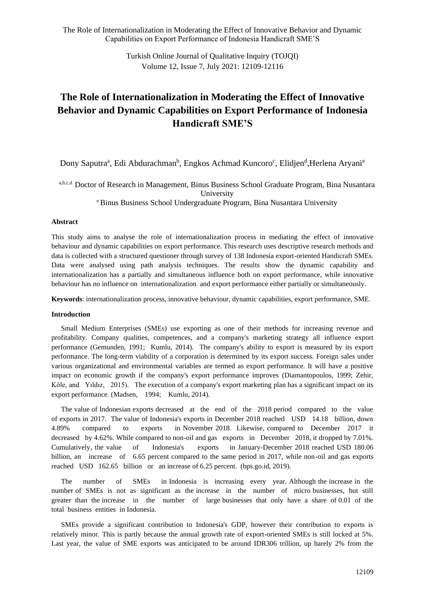> Turkish Online Journal of Qualitative Inquiry (TOJQI) Volume 12, Issue 7, July 2021: 12109-12116

# **The Role of Internationalization in Moderating the Effect of Innovative Behavior and Dynamic Capabilities on Export Performance of Indonesia Handicraft SME'S**

Dony Saputra<sup>a</sup>, Edi Abdurachman<sup>b</sup>, Engkos Achmad Kuncoro<sup>c</sup>, Elidjen<sup>d</sup>, Herlena Aryani<sup>e</sup>

a,b,c,d Doctor of Research in Management, Binus Business School Graduate Program, Bina Nusantara University

<sup>e</sup> Binus Business School Undergraduate Program, Bina Nusantara University

### **Abstract**

This study aims to analyse the role of internationalization process in mediating the effect of innovative behaviour and dynamic capabilities on export performance. This research uses descriptive research methods and data is collected with a structured questioner through survey of 138 Indonesia export-oriented Handicraft SMEs. Data were analysed using path analysis techniques. The results show the dynamic capability and internationalization has a partially and simultaneous influence both on export performance, while innovative behaviour has no influence on internationalization and export performance either partially or simultaneously.

**Keywords**: internationalization process, innovative behaviour, dynamic capabilities, export performance, SME.

### **Introduction**

Small Medium Enterprises (SMEs) use exporting as one of their methods for increasing revenue and profitability. Company qualities, competences, and a company's marketing strategy all influence export performance (Gemunden, 1991; Kumlu, 2014). The company's ability to export is measured by its export performance. The long-term viability of a corporation is determined by its export success. Foreign sales under various organizational and environmental variables are termed as export performance. It will have a positive impact on economic growth if the company's export performance improves (Diamantopoulos, 1999; Zehir, Köle, and Yıldız, 2015). The execution of a company's export marketing plan has a significant impact on its export performance. (Madsen, 1994; Kumlu, 2014).

The value of Indonesian exports decreased at the end of the 2018 period compared to the value of exports in 2017. The value of Indonesia's exports in December 2018 reached USD 14.18 billion, down 4.89% compared to exports in November 2018. Likewise, compared to December 2017 it decreased by 4.62%. While compared to non-oil and gas exports in December 2018, it dropped by 7.01%. Cumulatively, the value of Indonesia's exports in January-December 2018 reached USD 180.06 billion, an increase of 6.65 percent compared to the same period in 2017, while non-oil and gas exports reached USD 162.65 billion or an increase of 6.25 percent. (bps.go.id, 2019).

The number of SMEs in Indonesia is increasing every year. Although the increase in the number of SMEs is not as significant as the increase in the number of micro businesses, but still greater than the increase in the number of large businesses that only have a share of 0.01 of the total business entities in Indonesia.

SMEs provide a significant contribution to Indonesia's GDP, however their contribution to exports is relatively minor. This is partly because the annual growth rate of export-oriented SMEs is still locked at 5%. Last year, the value of SME exports was anticipated to be around IDR306 trillion, up barely 2% from the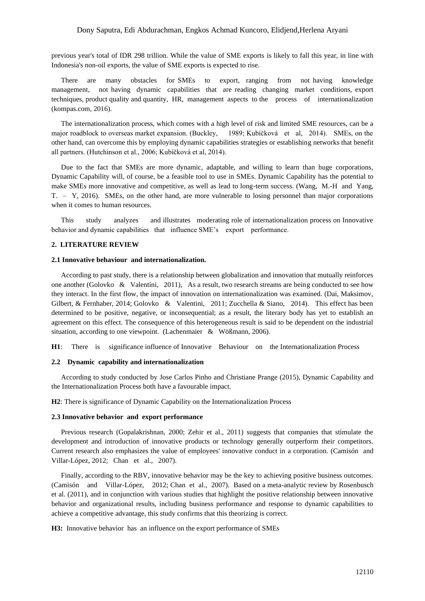### Dony Saputra, Edi Abdurachman, Engkos Achmad Kuncoro, Elidjend,Herlena Aryani

previous year's total of IDR 298 trillion. While the value of SME exports is likely to fall this year, in line with Indonesia's non-oil exports, the value of SME exports is expected to rise.

There are many obstacles for SMEs to export, ranging from not having knowledge management, not having dynamic capabilities that are reading changing market conditions, export techniques, product quality and quantity, HR, management aspects to the process of internationalization (kompas.com, 2016).

The internationalization process, which comes with a high level of risk and limited SME resources, can be a major roadblock to overseas market expansion. (Buckley, 1989; Kubíčková et al, 2014). SMEs, on the other hand, can overcome this by employing dynamic capabilities strategies or establishing networks that benefit all partners. (Hutchinson et al., 2006; Kubíčková et al, 2014).

Due to the fact that SMEs are more dynamic, adaptable, and willing to learn than huge corporations, Dynamic Capability will, of course, be a feasible tool to use in SMEs. Dynamic Capability has the potential to make SMEs more innovative and competitive, as well as lead to long-term success. (Wang, M.-H and Yang, T. – Y, 2016). SMEs, on the other hand, are more vulnerable to losing personnel than major corporations when it comes to human resources.

This study analyzes and illustrates moderating role of internationalization process on Innovative behavior and dynamic capabilities that influence SME's export performance.

#### **2. LITERATURE REVIEW**

#### **2.1 Innovative behaviour and internationalization.**

According to past study, there is a relationship between globalization and innovation that mutually reinforces one another (Golovko & Valentini, 2011), As a result, two research streams are being conducted to see how they interact. In the first flow, the impact of innovation on internationalization was examined. (Dai, Maksimov, Gilbert, & Fernhaber, 2014; Golovko & Valentini, 2011; Zucchella & Siano, 2014). This effect has been determined to be positive, negative, or inconsequential; as a result, the literary body has yet to establish an agreement on this effect. The consequence of this heterogeneous result is said to be dependent on the industrial situation, according to one viewpoint. (Lachenmaier & Wößmann, 2006).

**H1**: There is significance influence of Innovative Behaviour on the Internationalization Process

### **2.2 Dynamic capability and internationalization**

According to study conducted by Jose Carlos Pinho and Christiane Prange (2015), Dynamic Capability and the Internationalization Process both have a favourable impact.

**H2**: There is significance of Dynamic Capability on the Internationalization Process

### **2.3 Innovative behavior and export performance**

Previous research (Gopalakrishnan, 2000; Zehir et al., 2011) suggests that companies that stimulate the development and introduction of innovative products or technology generally outperform their competitors. Current research also emphasizes the value of employees' innovative conduct in a corporation. (Camisón and Villar-López, 2012; Chan et al., 2007).

Finally, according to the RBV, innovative behavior may be the key to achieving positive business outcomes. (Camisón and Villar-López, 2012; Chan et al., 2007). Based on a meta-analytic review by Rosenbusch et al. (2011), and in conjunction with various studies that highlight the positive relationship between innovative behavior and organizational results, including business performance and response to dynamic capabilities to achieve a competitive advantage, this study confirms that this theorizing is correct.

**H3:** Innovative behavior has an influence on the export performance of SMEs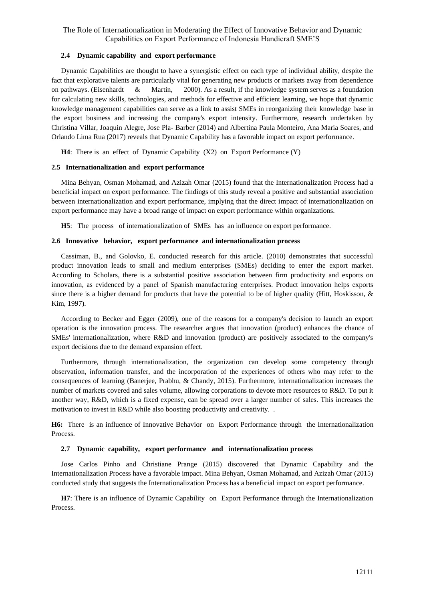# **2.4 Dynamic capability and export performance**

Dynamic Capabilities are thought to have a synergistic effect on each type of individual ability, despite the fact that explorative talents are particularly vital for generating new products or markets away from dependence on pathways. (Eisenhardt  $\&$  Martin, 2000). As a result, if the knowledge system serves as a foundation for calculating new skills, technologies, and methods for effective and efficient learning, we hope that dynamic knowledge management capabilities can serve as a link to assist SMEs in reorganizing their knowledge base in the export business and increasing the company's export intensity. Furthermore, research undertaken by Christina Villar, Joaquin Alegre, Jose Pla- Barber (2014) and Albertina Paula Monteiro, Ana Maria Soares, and Orlando Lima Rua (2017) reveals that Dynamic Capability has a favorable impact on export performance.

**H4**: There is an effect of Dynamic Capability (X2) on Export Performance (Y)

# **2.5 Internationalization and export performance**

Mina Behyan, Osman Mohamad, and Azizah Omar (2015) found that the Internationalization Process had a beneficial impact on export performance. The findings of this study reveal a positive and substantial association between internationalization and export performance, implying that the direct impact of internationalization on export performance may have a broad range of impact on export performance within organizations.

**H5**: The process of internationalization of SMEs has an influence on export performance.

# **2.6 Innovative behavior, export performance and internationalization process**

Cassiman, B., and Golovko, E. conducted research for this article. (2010) demonstrates that successful product innovation leads to small and medium enterprises (SMEs) deciding to enter the export market. According to Scholars, there is a substantial positive association between firm productivity and exports on innovation, as evidenced by a panel of Spanish manufacturing enterprises. Product innovation helps exports since there is a higher demand for products that have the potential to be of higher quality (Hitt, Hoskisson, & Kim, 1997).

According to Becker and Egger (2009), one of the reasons for a company's decision to launch an export operation is the innovation process. The researcher argues that innovation (product) enhances the chance of SMEs' internationalization, where R&D and innovation (product) are positively associated to the company's export decisions due to the demand expansion effect.

Furthermore, through internationalization, the organization can develop some competency through observation, information transfer, and the incorporation of the experiences of others who may refer to the consequences of learning (Banerjee, Prabhu, & Chandy, 2015). Furthermore, internationalization increases the number of markets covered and sales volume, allowing corporations to devote more resources to R&D. To put it another way, R&D, which is a fixed expense, can be spread over a larger number of sales. This increases the motivation to invest in R&D while also boosting productivity and creativity. .

**H6:** There is an influence of Innovative Behavior on Export Performance through the Internationalization Process.

# **2.7 Dynamic capability, export performance and internationalization process**

Jose Carlos Pinho and Christiane Prange (2015) discovered that Dynamic Capability and the Internationalization Process have a favorable impact. Mina Behyan, Osman Mohamad, and Azizah Omar (2015) conducted study that suggests the Internationalization Process has a beneficial impact on export performance.

**H7**: There is an influence of Dynamic Capability on Export Performance through the Internationalization Process.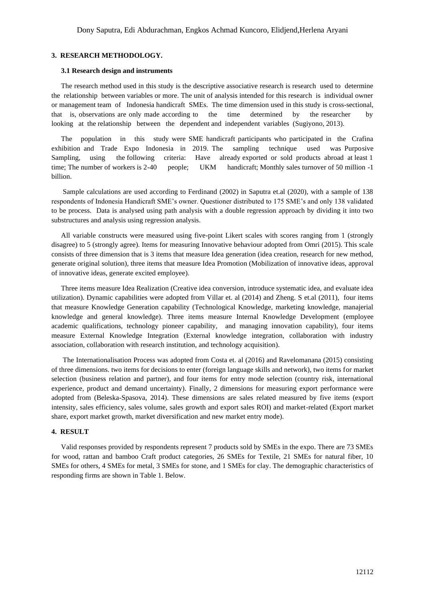#### **3. RESEARCH METHODOLOGY.**

#### **3.1 Research design and instruments**

The research method used in this study is the descriptive associative research is research used to determine the relationship between variables or more. The unit of analysis intended for this research is individual owner or management team of Indonesia handicraft SMEs. The time dimension used in this study is cross-sectional, that is, observations are only made according to the time determined by the researcher by looking at the relationship between the dependent and independent variables (Sugiyono, 2013).

The population in this study were SME handicraft participants who participated in the Crafina exhibition and Trade Expo Indonesia in 2019. The sampling technique used was Purposive Sampling, using the following criteria: Have already exported or sold products abroad at least 1 time; The number of workers is 2-40 people; UKM handicraft; Monthly sales turnover of 50 million -1 billion.

Sample calculations are used according to Ferdinand (2002) in Saputra et.al (2020), with a sample of 138 respondents of Indonesia Handicraft SME's owner. Questioner distributed to 175 SME's and only 138 validated to be process. Data is analysed using path analysis with a double regression approach by dividing it into two substructures and analysis using regression analysis.

All variable constructs were measured using five-point Likert scales with scores ranging from 1 (strongly disagree) to 5 (strongly agree). Items for measuring Innovative behaviour adopted from Omri (2015). This scale consists of three dimension that is 3 items that measure Idea generation (idea creation, research for new method, generate original solution), three items that measure Idea Promotion (Mobilization of innovative ideas, approval of innovative ideas, generate excited employee).

Three items measure Idea Realization (Creative idea conversion, introduce systematic idea, and evaluate idea utilization). Dynamic capabilities were adopted from Villar et. al (2014) and Zheng. S et.al (2011), four items that measure Knowledge Generation capability (Technological Knowledge, marketing knowledge, manajerial knowledge and general knowledge). Three items measure Internal Knowledge Development (employee academic qualifications, technology pioneer capability, and managing innovation capability), four items measure External Knowledge Integration (External knowledge integration, collaboration with industry association, collaboration with research institution, and technology acquisition).

The Internationalisation Process was adopted from Costa et. al (2016) and Ravelomanana (2015) consisting of three dimensions. two items for decisions to enter (foreign language skills and network), two items for market selection (business relation and partner), and four items for entry mode selection (country risk, international experience, product and demand uncertainty). Finally, 2 dimensions for measuring export performance were adopted from (Beleska-Spasova, 2014). These dimensions are sales related measured by five items (export intensity, sales efficiency, sales volume, sales growth and export sales ROI) and market-related (Export market share, export market growth, market diversification and new market entry mode).

### **4. RESULT**

Valid responses provided by respondents represent 7 products sold by SMEs in the expo. There are 73 SMEs for wood, rattan and bamboo Craft product categories, 26 SMEs for Textile, 21 SMEs for natural fiber, 10 SMEs for others, 4 SMEs for metal, 3 SMEs for stone, and 1 SMEs for clay. The demographic characteristics of responding firms are shown in Table 1. Below.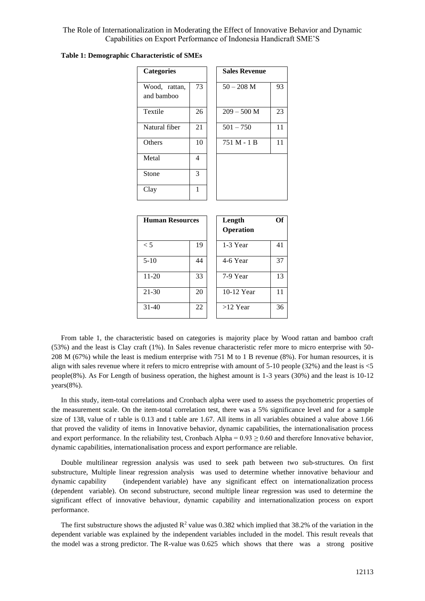| <b>Categories</b>           |              | <b>Sales Revenue</b> |      |
|-----------------------------|--------------|----------------------|------|
| Wood, rattan,<br>and bamboo | 73           | $50 - 208$ M         | 93   |
| Textile                     | 26           | $209 - 500$ M        | 23   |
| Natural fiber               | 21           | $501 - 750$          | 11   |
| Others                      | 10           | 751 M - 1 B          | 11   |
| Metal                       | 4            |                      |      |
| Stone                       | 3            |                      |      |
| Clay                        | $\mathbf{1}$ |                      |      |
| <b>Human Resources</b>      |              | Length               | ( )ť |

**Table 1: Demographic Characteristic of SMEs**

| <b>Human Resources</b> |    | Length<br>Operation | Оf |
|------------------------|----|---------------------|----|
| $\leq 5$               | 19 | 1-3 Year            | 41 |
| $5-10$                 | 44 | 4-6 Year            | 37 |
| 11-20                  | 33 | 7-9 Year            | 13 |
| 21-30                  | 20 | 10-12 Year          | 11 |
| 31-40                  | 22 | $>12$ Year          | 36 |

From table 1, the characteristic based on categories is majority place by Wood rattan and bamboo craft (53%) and the least is Clay craft (1%). In Sales revenue characteristic refer more to micro enterprise with 50- 208 M (67%) while the least is medium enterprise with 751 M to 1 B revenue (8%). For human resources, it is align with sales revenue where it refers to micro entreprise with amount of 5-10 people (32%) and the least is <5 people(8%). As For Length of business operation, the highest amount is 1-3 years (30%) and the least is 10-12 years(8%).

In this study, item-total correlations and Cronbach alpha were used to assess the psychometric properties of the measurement scale. On the item-total correlation test, there was a 5% significance level and for a sample size of 138, value of r table is 0.13 and t table are 1.67. All items in all variables obtained a value above 1.66 that proved the validity of items in Innovative behavior, dynamic capabilities, the internationalisation process and export performance. In the reliability test, Cronbach Alpha =  $0.93 \ge 0.60$  and therefore Innovative behavior, dynamic capabilities, internationalisation process and export performance are reliable.

Double multilinear regression analysis was used to seek path between two sub-structures. On first substructure, Multiple linear regression analysis was used to determine whether innovative behaviour and dynamic capability (independent variable) have any significant effect on internationalization process (dependent variable). On second substructure, second multiple linear regression was used to determine the significant effect of innovative behaviour, dynamic capability and internationalization process on export performance.

The first substructure shows the adjusted  $\mathbb{R}^2$  value was 0.382 which implied that 38.2% of the variation in the dependent variable was explained by the independent variables included in the model. This result reveals that the model was a strong predictor. The R-value was 0.625 which shows that there was a strong positive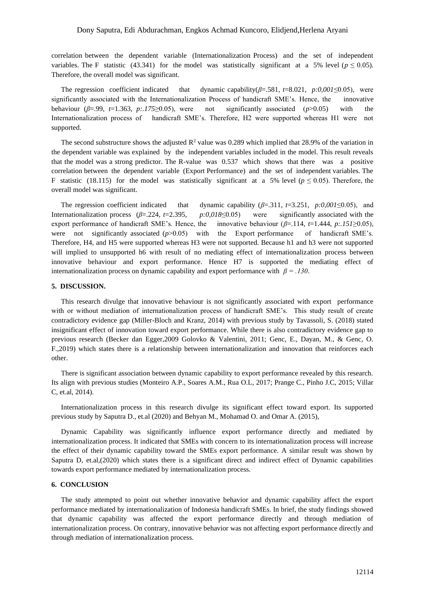correlation between the dependent variable (Internationalization Process) and the set of independent variables. The F statistic (43.341) for the model was statistically significant at a 5% level ( $p \le 0.05$ ). Therefore, the overall model was significant.

The regression coefficient indicated that dynamic capability(*β*=.581, *t*=8.021, *p:0,001*≤0.05), were significantly associated with the Internationalization Process of handicraft SME's. Hence, the innovative behaviour (*β*=.99, *t*=1.363, *p:.175*≥0.05), were not significantly associated (*p*>0.05) with the Internationalization process of handicraft SME's. Therefore, H2 were supported whereas H1 were not supported.

The second substructure shows the adjusted  $\mathbb{R}^2$  value was 0.289 which implied that 28.9% of the variation in the dependent variable was explained by the independent variables included in the model. This result reveals that the model was a strong predictor. The R-value was 0.537 which shows that there was a positive correlation between the dependent variable (Export Performance) and the set of independent variables. The F statistic (18.115) for the model was statistically significant at a 5% level ( $p \le 0.05$ ). Therefore, the overall model was significant.

The regression coefficient indicated that dynamic capability (*β*=.311, *t*=3.251, *p:0,001*≤0.05), and Internationalization process (*β*=.224, *t*=2.395, *p:0,018*≤0.05) were significantly associated with the export performance of handicraft SME's. Hence, the innovative behaviour (*β*=.114, *t*=1.444, *p:.151*≥0.05), were not significantly associated ( $p$ >0.05) with the Export performance of handicraft SME's. Therefore, H4, and H5 were supported whereas H3 were not supported. Because h1 and h3 were not supported will implied to unsupported h6 with result of no mediating effect of internationalization process between innovative behaviour and export performance. Hence H7 is supported the mediating effect of internationalization process on dynamic capability and export performance with  $\beta = .130$ .

#### **5. DISCUSSION.**

This research divulge that innovative behaviour is not significantly associated with export performance with or without mediation of internationalization process of handicraft SME's. This study result of create contradictory evidence gap (Miller-Bloch and Kranz, 2014) with previous study by Tavassoli, S. (2018) stated insignificant effect of innovation toward export performance. While there is also contradictory evidence gap to previous research (Becker dan Egger,2009 Golovko & Valentini, 2011; Genc, E., Dayan, M., & Genc, O. F.,2019) which states there is a relationship between internationalization and innovation that reinforces each other.

There is significant association between dynamic capability to export performance revealed by this research. Its align with previous studies (Monteiro A.P., Soares A.M., Rua O.L, 2017; Prange C., Pinho J.C, 2015; Villar C, et.al, 2014).

Internationalization process in this research divulge its significant effect toward export. Its supported previous study by Saputra D., et.al (2020) and Behyan M., Mohamad O. and Omar A. (2015),

Dynamic Capability was significantly influence export performance directly and mediated by internationalization process. It indicated that SMEs with concern to its internationalization process will increase the effect of their dynamic capability toward the SMEs export performance. A similar result was shown by Saputra D, et.al,(2020) which states there is a significant direct and indirect effect of Dynamic capabilities towards export performance mediated by internationalization process.

#### **6. CONCLUSION**

The study attempted to point out whether innovative behavior and dynamic capability affect the export performance mediated by internationalization of Indonesia handicraft SMEs. In brief, the study findings showed that dynamic capability was affected the export performance directly and through mediation of internationalization process. On contrary, innovative behavior was not affecting export performance directly and through mediation of internationalization process.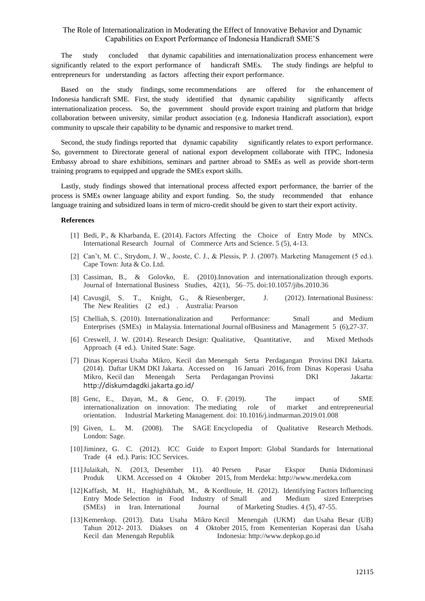The study concluded that dynamic capabilities and internationalization process enhancement were significantly related to the export performance of handicraft SMEs. The study findings are helpful to entrepreneurs for understanding as factors affecting their export performance.

Based on the study findings, some recommendations are offered for the enhancement of Indonesia handicraft SME. First, the study identified that dynamic capability significantly affects internationalization process. So, the government should provide export training and platform that bridge collaboration between university, similar product association (e.g. Indonesia Handicraft association), export community to upscale their capability to be dynamic and responsive to market trend.

Second, the study findings reported that dynamic capability significantly relates to export performance. So, government to Directorate general of national export development collaborate with ITPC, Indonesia Embassy abroad to share exhibitions, seminars and partner abroad to SMEs as well as provide short-term training programs to equipped and upgrade the SMEs export skills.

Lastly, study findings showed that international process affected export performance, the barrier of the process is SMEs owner language ability and export funding. So, the study recommended that enhance language training and subsidized loans in term of micro-credit should be given to start their export activity.

#### **References**

- [1] Bedi, P., & Kharbanda, E. (2014). Factors Affecting the Choice of Entry Mode by MNCs. International Research Journal of Commerce Arts and Science. 5 (5), 4-13.
- [2] Can't, M. C., Strydom, J. W., Jooste, C. J., & Plessis, P. J. (2007). Marketing Management (5 ed.). Cape Town: Juta & Co. Ltd.
- [3] Cassiman, B., & Golovko, E. (2010).Innovation and internationalization through exports. Journal of International Business Studies, 42(1), 56–75. doi:10.1057/jibs.2010.36
- [4] Cavusgil, S. T., Knight, G., & Riesenberger, J. (2012). International Business: The New Realities (2 ed.) . Australia: Pearson
- [5] Chelliah, S. (2010). Internationalization and Performance: Small and Medium Enterprises (SMEs) in Malaysia. International Journal ofBusiness and Management 5 (6),27-37.
- [6] Creswell, J. W. (2014). Research Design: Qualitative, Quantitative, and Mixed Methods Approach (4 ed.). United State: Sage.
- [7] Dinas Koperasi Usaha Mikro, Kecil dan Menengah Serta Perdagangan Provinsi DKI Jakarta. (2014). Daftar UKM DKI Jakarta. Accessed on 16 Januari 2016, from Dinas Koperasi Usaha Mikro, Kecil dan Menengah Serta Perdagangan Provinsi DKI Jakarta: <http://diskumdagdki.jakarta.go.id/>
- [8] Genc, E., Dayan, M., & Genc, O. F. (2019). The impact of SME internationalization on innovation: The mediating role of market and entrepreneurial orientation. Industrial Marketing Management. doi: 10.1016/j.indmarman.2019.01.008
- [9] Given, L. M. (2008). The SAGE Encyclopedia of Qualitative Research Methods. London: Sage.
- [10]Jiminez, G. C. (2012). ICC Guide to Export Import: Global Standards for International Trade (4 ed.). Paris: ICC Services.
- [11]Julaikah, N. (2013, Desember 11). 40 Persen Pasar Ekspor Dunia Didominasi Produk UKM. Accessed on 4 Oktober 2015, from Merdeka: http://www.merdeka.com
- [12]Kaffash, M. H., Haghighikhah, M., & Kordlouie, H. (2012). Identifying Factors Influencing Entry Mode Selection in Food Industry of Small and Medium sized Enterprises (SMEs) in Iran. International Journal of Marketing Studies. 4 (5), 47-55.
- [13]Kemenkop. (2013). Data Usaha Mikro Kecil Menengah (UKM) dan Usaha Besar (UB) Tahun 2012- 2013. Diakses on 4 Oktober 2015, from Kementerian Koperasi dan Usaha Kecil dan Menengah Republik Indonesia: http://www.depkop.go.id